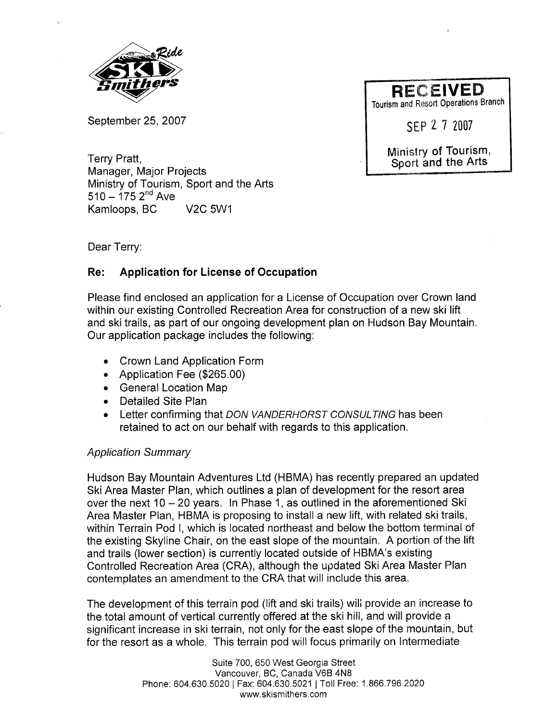

September 25, 2007

Tourism and Resort Operations Branch

SEP 2 7 2007

Ministry of Tourism, Sport and the Arts

Terry Pratt, Manager, Major Projects Ministry of Tourism, Sport and the Arts  $510 - 175$   $2^{nd}$  Ave Kamloops, BC V2C 5W1

Dear Terry:

## Re: Application for License of Occupation

Please find enclosed an application for a License of Occupation over Crown land within our existing Controlled Recreation Area for construction of a new ski lift and ski trails, as part of our ongoing development plan on Hudson Bay Mountain. Our application package includes the following:

- . Crown Land Application Form
- . Application Fee (\$265.00)
- . General Location Map
- . Detailed Site Plan
- Letter confirming that DON VANDERHORST CONSULTING has been retained to act on our behalf with regards to this application.

## Application Summary

Hudson Bay Mountain Adventures Ltd (HBMA) has recently prepared an updated Ski Area Master Plan, which outlines a plan of development for the resort area over the next  $10 - 20$  years. In Phase 1, as outlined in the aforementioned Ski Area Master Plan, HBMA is proposing to install a new lift, with related ski trails, within Terrain Pod I, which is located northeast and below the bottom terminal of the existing Skyline Chair, on the east slope of the mountain. A portion of the lift and trails (lower section) is currently located outside of HBMA's existing Controlled Recreation Area (CRA), although the updated Ski Area Master Plan contemplates an amendment to the CRA that will include this area.

The development of this terrain pod (lift and ski trails) wili provide an increase to the total amount of vertical currently offered at the ski hill, and will provide a significant increase in ski terrain, not only for the east slope of the mountain, but for the resort as a whole. This terrain pod will focus primarily on Intermediate

> Suite 700, 650 West Georgia Street Vancouver, BC, Canada V6B 4N8 Phone: 604.630.5020 I Fax: 604.630.5021 I Toll Free: 1.866.796.2020 ww.skismithers.com